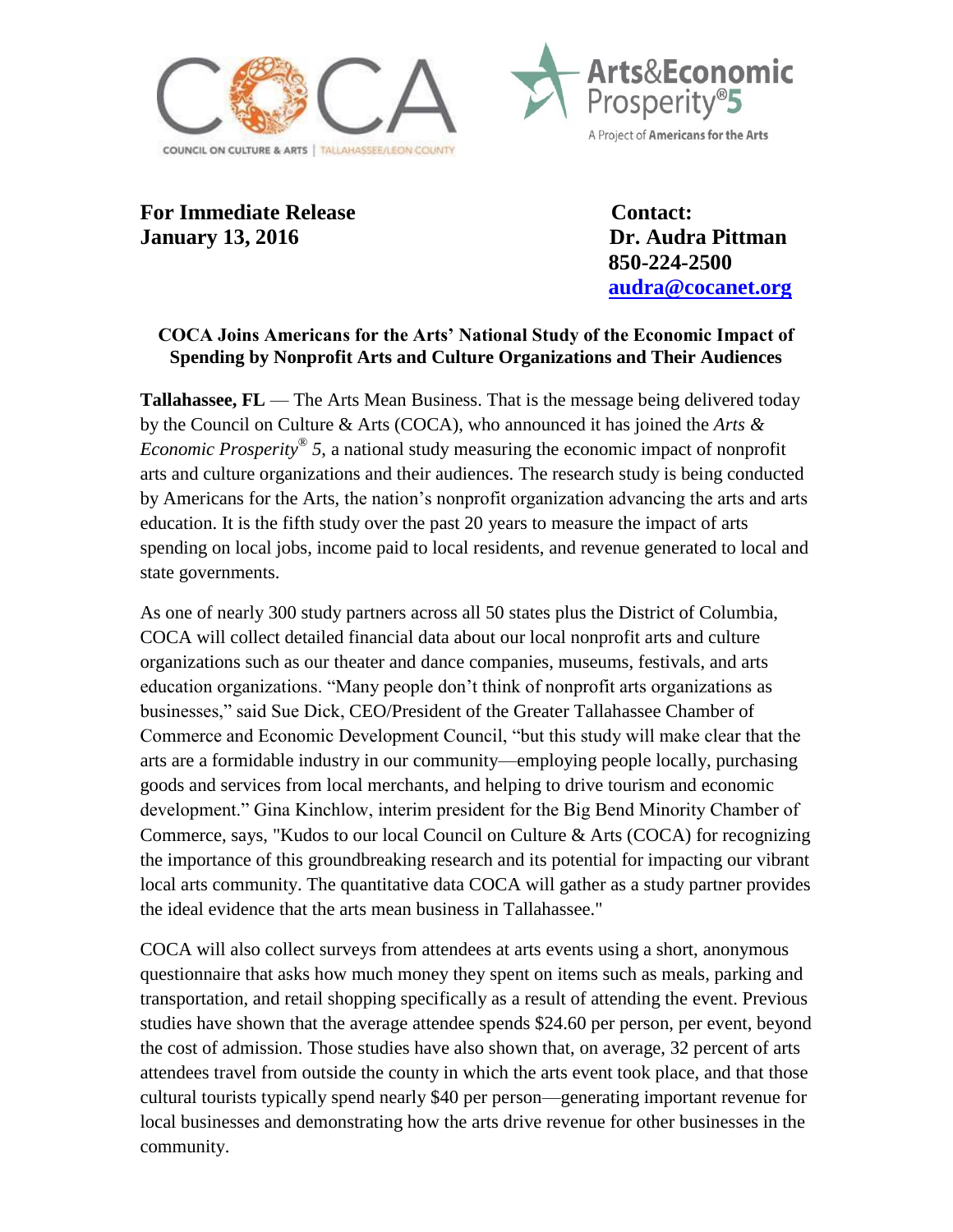



For Immediate Release **Contact: January 13, 2016 Dr. Audra Pittman**

 **850-224-2500 [audra@cocanet.org](mailto:audra@cocanet.org)**

## **COCA Joins Americans for the Arts' National Study of the Economic Impact of Spending by Nonprofit Arts and Culture Organizations and Their Audiences**

**Tallahassee, FL** — The Arts Mean Business. That is the message being delivered today by the Council on Culture & Arts (COCA), who announced it has joined the *Arts & Economic Prosperity*® *5*, a national study measuring the economic impact of nonprofit arts and culture organizations and their audiences. The research study is being conducted by Americans for the Arts, the nation's nonprofit organization advancing the arts and arts education. It is the fifth study over the past 20 years to measure the impact of arts spending on local jobs, income paid to local residents, and revenue generated to local and state governments.

As one of nearly 300 study partners across all 50 states plus the District of Columbia, COCA will collect detailed financial data about our local nonprofit arts and culture organizations such as our theater and dance companies, museums, festivals, and arts education organizations. "Many people don't think of nonprofit arts organizations as businesses," said Sue Dick, CEO/President of the Greater Tallahassee Chamber of Commerce and Economic Development Council, "but this study will make clear that the arts are a formidable industry in our community—employing people locally, purchasing goods and services from local merchants, and helping to drive tourism and economic development." Gina Kinchlow, interim president for the Big Bend Minority Chamber of Commerce, says, "Kudos to our local Council on Culture & Arts (COCA) for recognizing the importance of this groundbreaking research and its potential for impacting our vibrant local arts community. The quantitative data COCA will gather as a study partner provides the ideal evidence that the arts mean business in Tallahassee."

COCA will also collect surveys from attendees at arts events using a short, anonymous questionnaire that asks how much money they spent on items such as meals, parking and transportation, and retail shopping specifically as a result of attending the event. Previous studies have shown that the average attendee spends \$24.60 per person, per event, beyond the cost of admission. Those studies have also shown that, on average, 32 percent of arts attendees travel from outside the county in which the arts event took place, and that those cultural tourists typically spend nearly \$40 per person—generating important revenue for local businesses and demonstrating how the arts drive revenue for other businesses in the community.